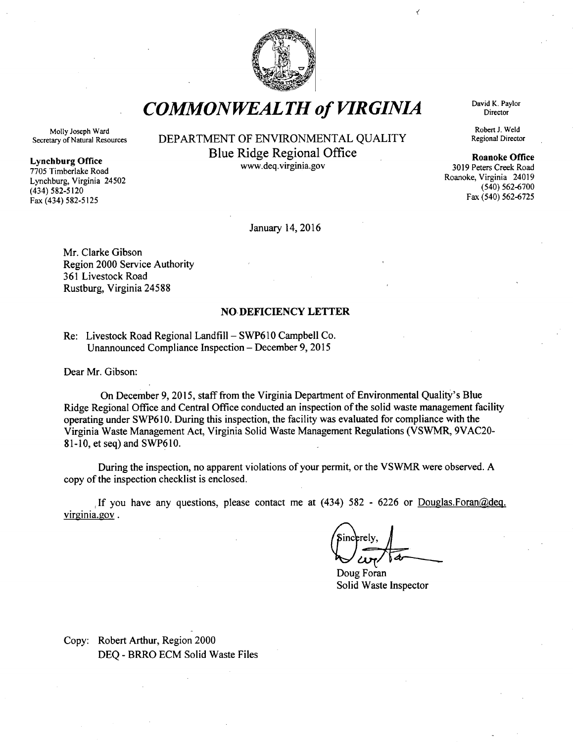

*COMMONWEALTH of VIRGINIA* David K. Paylor

Molly Joseph Ward Secretary of Natural Resources

#### Lynchburg Office

7705 Timberlake Road Lynchburg, Virginia 24502 (434) 582-5120 Fax (434) 582-5125

# DEPARTMENT OF ENVIRONMENTAL QUALITY Blue Ridge Regional Office Roanoke Office

www.deq.virginia.gov

January 14, 2016

Mr. Clarke Gibson Region 2000 Service Authority 361 Livestock Road Rustburg, Virginia 24588

### NO DEFICIENCY LETTER

Re: Livestock Road Regional Landfill-SWP610 Campbell Co. Unannounced Compliance Inspection - December 9, 2015

Dear Mr. Gibson:

On December 9, 2015, staff from the Virginia Department of Environmental Quality's Blue Ridge Regional Office and Central Office conducted an inspection of the solid waste management facility operating under SWP610. During this inspection, the facility was evaluated for compliance with the Virginia Waste Management Act, Virginia Solid Waste Management Regulations (VSWMR, 9VAC20- 81-10, et seq) and SWP610.

During the inspection, no apparent violations of your permit, or the VSWMR were observed. A copy of the inspection checklist is enclosed.

,If you have any questions, please contact me at (434) 582 - 6226 or Douglas.Foran@deq. virginia.gov.

incerely

Doug Foran Solid Waste Inspector

Copy: Robert Arthur, Region 2000 DEQ - BRRO ECM Solid Waste Files **Director** 

<

Robert J. Weld Regional Director

3019 Peters Creek Road Roanoke, Virginia 24019 (540) 562-6700 Fax (540) 562-6725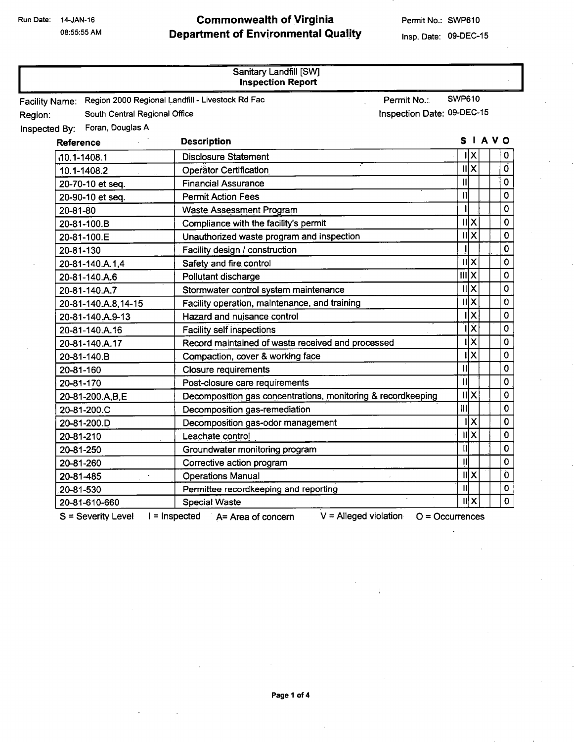08:55:55 AM

## Commonwealth of Virginia Department of Environmental Quality

Permit No.: SWP610

Insp. Date: 09-DEC-15

 $\mathbf{r}$ 

 $\bar{I}$ 

| Sanitary Landfill [SW]<br><b>Inspection Report</b>                     |                                                                  |                                        |             |
|------------------------------------------------------------------------|------------------------------------------------------------------|----------------------------------------|-------------|
| Facility Name: Region 2000 Regional Landfill - Livestock Rd Fac        | Permit No.:                                                      | <b>SWP610</b>                          |             |
| Inspection Date: 09-DEC-15<br>South Central Regional Office<br>Region: |                                                                  |                                        |             |
| Inspected By: Foran, Douglas A                                         |                                                                  |                                        |             |
| Reference                                                              | <b>Description</b>                                               | SIAVO                                  |             |
| $.10.1 - 1408.1$                                                       | <b>Disclosure Statement</b>                                      | $\mathsf{I} \mathsf{I} \mathsf{X}$     | 0           |
| 10.1-1408.2                                                            | <b>Operator Certification</b>                                    | x                                      | Ő           |
| 20-70-10 et seq.                                                       | <b>Financial Assurance</b>                                       | IJ                                     | $\mathbf 0$ |
| 20-90-10 et seq.                                                       | <b>Permit Action Fees</b>                                        | $\mathbf{u}$                           | 0           |
| 20-81-80                                                               | <b>Waste Assessment Program</b>                                  |                                        | 0           |
| 20-81-100.B                                                            | Compliance with the facility's permit                            | $\mathbf{u} \times$                    | $\mathbf 0$ |
| 20-81-100.E                                                            | Unauthorized waste program and inspection                        | x                                      | 0           |
| 20-81-130                                                              | Facility design / construction                                   |                                        | 0           |
| 20-81-140.A.1,4                                                        | Safety and fire control                                          | ШX                                     | 0           |
| 20-81-140.A.6                                                          | Pollutant discharge                                              | $\overline{\mathfrak{m}}$ $\mathsf{x}$ | 0           |
| 20-81-140.A.7                                                          | Stormwater control system maintenance                            | $\overline{\mathsf{II}}$ X             | 0           |
| 20-81-140.A.8,14-15                                                    | Facility operation, maintenance, and training                    | x                                      | 0           |
| 20-81-140.A.9-13                                                       | Hazard and nuisance control                                      | $\mathsf{I} \mathsf{X}$                | 0           |
| 20-81-140.A.16                                                         | <b>Facility self inspections</b>                                 | īΪx                                    | 0           |
| 20-81-140.A.17                                                         | Record maintained of waste received and processed                | $\overline{\mathsf{x}}$                | 0           |
| 20-81-140.B                                                            | Compaction, cover & working face                                 | īΪX                                    | 0           |
| 20-81-160                                                              | <b>Closure requirements</b>                                      | Ш                                      | 0           |
| 20-81-170                                                              | Post-closure care requirements                                   | $\mathbf{II}$                          | 0           |
| 20-81-200.A,B,E                                                        | Decomposition gas concentrations, monitoring & recordkeeping     | X                                      | 0           |
| 20-81-200.C                                                            | Decomposition gas-remediation                                    | $\overline{m}$                         | 0           |
| 20-81-200.D                                                            | Decomposition gas-odor management                                | ÏΧ                                     | 0           |
| 20-81-210                                                              | Leachate control                                                 | x                                      | 0           |
| 20-81-250                                                              | Groundwater monitoring program                                   | $\mathbf{u}$                           | 0           |
| 20-81-260                                                              | Corrective action program                                        | $\mathbf{II}$                          | 0           |
| 20-81-485<br>$\blacksquare$                                            | <b>Operations Manual</b>                                         | X                                      | Ò           |
| 20-81-530                                                              | Permittee recordkeeping and reporting                            | $\mathbf{II}$                          | 0           |
| 20-81-610-660                                                          | <b>Special Waste</b>                                             | шlх                                    | 0           |
| S = Severity Level                                                     | $V =$ Alleged violation<br>$1 =$ Inspected $A =$ Area of concern | $O = Occurrence$                       |             |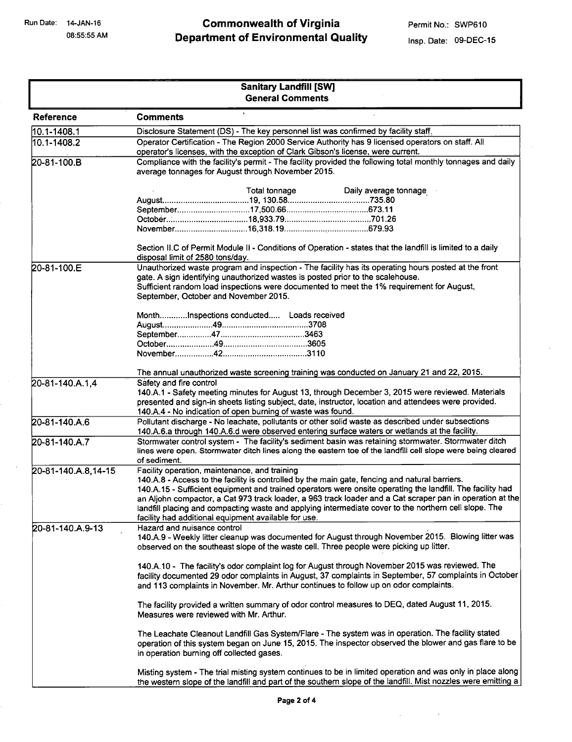# Commonwealth of Virginia Department of Environmental Quality

|                     | <b>Sanitary Landfill [SW]</b><br><b>General Comments</b>                                                                                                                                                                                                                                                                                                                                                                                                                                                                                    |  |
|---------------------|---------------------------------------------------------------------------------------------------------------------------------------------------------------------------------------------------------------------------------------------------------------------------------------------------------------------------------------------------------------------------------------------------------------------------------------------------------------------------------------------------------------------------------------------|--|
| <b>Reference</b>    | <b>Comments</b>                                                                                                                                                                                                                                                                                                                                                                                                                                                                                                                             |  |
| 10.1-1408.1         | Disclosure Statement (DS) - The key personnel list was confirmed by facility staff.                                                                                                                                                                                                                                                                                                                                                                                                                                                         |  |
| 10.1-1408.2         | Operator Certification - The Region 2000 Service Authority has 9 licensed operators on staff. All<br>operator's licenses, with the exception of Clark Gibson's license, were current.                                                                                                                                                                                                                                                                                                                                                       |  |
| 20-81-100.B         | Compliance with the facility's permit - The facility provided the following total monthly tonnages and daily<br>average tonnages for August through November 2015.                                                                                                                                                                                                                                                                                                                                                                          |  |
|                     | Total tonnage<br>Daily average tonnage                                                                                                                                                                                                                                                                                                                                                                                                                                                                                                      |  |
|                     | Section II.C of Permit Module II - Conditions of Operation - states that the landfill is limited to a daily<br>disposal limit of 2580 tons/day.                                                                                                                                                                                                                                                                                                                                                                                             |  |
| 20-81-100.E         | Unauthorized waste program and inspection - The facility has its operating hours posted at the front<br>gate. A sign identifying unauthorized wastes is posted prior to the scalehouse.<br>Sufficient random load inspections were documented to meet the 1% requirement for August,<br>September, October and November 2015.                                                                                                                                                                                                               |  |
|                     | MonthInspections conducted Loads received                                                                                                                                                                                                                                                                                                                                                                                                                                                                                                   |  |
| 20-81-140.A.1,4     | The annual unauthorized waste screening training was conducted on January 21 and 22, 2015.<br>Safety and fire control<br>140.A.1 - Safety meeting minutes for August 13, through December 3, 2015 were reviewed. Materials<br>presented and sign-in sheets listing subject, date, instructor, location and attendees were provided.<br>140.A.4 - No indication of open burning of waste was found.                                                                                                                                          |  |
| 20-81-140.A.6       | Pollutant discharge - No leachate, pollutants or other solid waste as described under subsections<br>140.A.6.a through 140.A.6.d were observed entering surface waters or wetlands at the facility.                                                                                                                                                                                                                                                                                                                                         |  |
| 20-81-140.A.7       | Stormwater control system - The facility's sediment basin was retaining stormwater. Stormwater ditch<br>lines were open. Stormwater ditch lines along the eastern toe of the landfill cell slope were being cleared<br>of sediment.                                                                                                                                                                                                                                                                                                         |  |
| 20-81-140.A.8,14-15 | Facility operation, maintenance, and training<br>140.A.8 - Access to the facility is controlled by the main gate, fencing and natural barriers.<br>140.A.15 - Sufficient equipment and trained operators were onsite operating the landfill. The facility had<br>an Aljohn compactor, a Cat 973 track loader, a 963 track loader and a Cat scraper pan in operation at the<br>landfill placing and compacting waste and applying intermediate cover to the northern cell slope. The<br>facility had additional equipment available for use. |  |
| 20-81-140.A.9-13    | Hazard and nuisance control<br>140.A.9 - Weekly litter cleanup was documented for August through November 2015. Blowing litter was<br>observed on the southeast slope of the waste cell. Three people were picking up litter.                                                                                                                                                                                                                                                                                                               |  |
|                     | 140.A.10 - The facility's odor complaint log for August through November 2015 was reviewed. The<br>facility documented 29 odor complaints in August, 37 complaints in September, 57 complaints in October<br>and 113 complaints in November. Mr. Arthur continues to follow up on odor complaints.                                                                                                                                                                                                                                          |  |
|                     | The facility provided a written summary of odor control measures to DEQ, dated August 11, 2015.<br>Measures were reviewed with Mr. Arthur.                                                                                                                                                                                                                                                                                                                                                                                                  |  |
|                     | The Leachate Cleanout Landfill Gas System/Flare - The system was in operation. The facility stated<br>operation of this system began on June 15, 2015. The inspector observed the blower and gas flare to be<br>in operation burning off collected gases.                                                                                                                                                                                                                                                                                   |  |
|                     | Misting system - The trial misting system continues to be in limited operation and was only in place along<br>the western slope of the landfill and part of the southern slope of the landfill. Mist nozzles were emitting a                                                                                                                                                                                                                                                                                                                |  |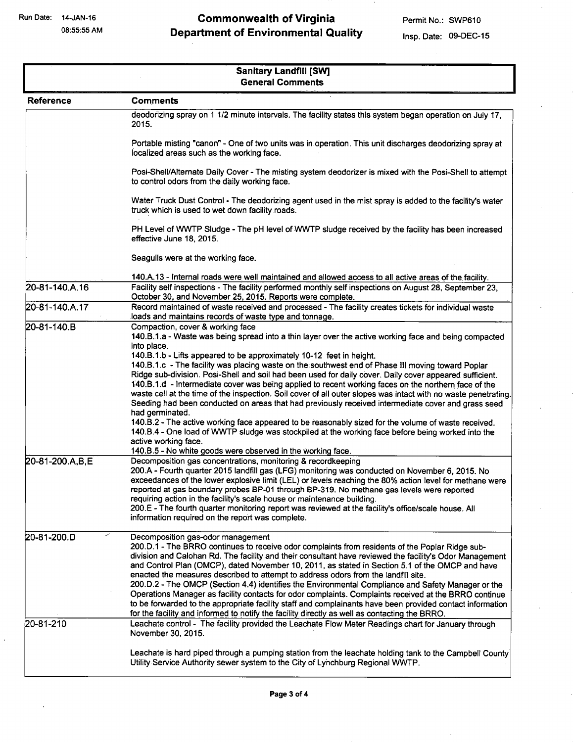08:55:55 AM

# Commonwealth of Virginia Department of Environmental Quality

| Sanitary Landfill [SW]<br><b>General Comments</b> |                                                                                                                                                                                                                                                                                                                                                                                                                                                                                                                                                                                                                                                                                                                                                                                                                                                                                                                                                                                                                                                                                                                                                                                                                                                                                                                                                                                                                                                                                                                                                                                                                                                                                                                                                                                   |  |
|---------------------------------------------------|-----------------------------------------------------------------------------------------------------------------------------------------------------------------------------------------------------------------------------------------------------------------------------------------------------------------------------------------------------------------------------------------------------------------------------------------------------------------------------------------------------------------------------------------------------------------------------------------------------------------------------------------------------------------------------------------------------------------------------------------------------------------------------------------------------------------------------------------------------------------------------------------------------------------------------------------------------------------------------------------------------------------------------------------------------------------------------------------------------------------------------------------------------------------------------------------------------------------------------------------------------------------------------------------------------------------------------------------------------------------------------------------------------------------------------------------------------------------------------------------------------------------------------------------------------------------------------------------------------------------------------------------------------------------------------------------------------------------------------------------------------------------------------------|--|
| Reference                                         | <b>Comments</b>                                                                                                                                                                                                                                                                                                                                                                                                                                                                                                                                                                                                                                                                                                                                                                                                                                                                                                                                                                                                                                                                                                                                                                                                                                                                                                                                                                                                                                                                                                                                                                                                                                                                                                                                                                   |  |
|                                                   | deodorizing spray on 1 1/2 minute intervals. The facility states this system began operation on July 17,<br>2015.                                                                                                                                                                                                                                                                                                                                                                                                                                                                                                                                                                                                                                                                                                                                                                                                                                                                                                                                                                                                                                                                                                                                                                                                                                                                                                                                                                                                                                                                                                                                                                                                                                                                 |  |
|                                                   | Portable misting "canon" - One of two units was in operation. This unit discharges deodorizing spray at<br>localized areas such as the working face.                                                                                                                                                                                                                                                                                                                                                                                                                                                                                                                                                                                                                                                                                                                                                                                                                                                                                                                                                                                                                                                                                                                                                                                                                                                                                                                                                                                                                                                                                                                                                                                                                              |  |
|                                                   | Posi-Shell/Alternate Daily Cover - The misting system deodorizer is mixed with the Posi-Shell to attempt<br>to control odors from the daily working face.                                                                                                                                                                                                                                                                                                                                                                                                                                                                                                                                                                                                                                                                                                                                                                                                                                                                                                                                                                                                                                                                                                                                                                                                                                                                                                                                                                                                                                                                                                                                                                                                                         |  |
|                                                   | Water Truck Dust Control - The deodorizing agent used in the mist spray is added to the facility's water<br>truck which is used to wet down facility roads.                                                                                                                                                                                                                                                                                                                                                                                                                                                                                                                                                                                                                                                                                                                                                                                                                                                                                                                                                                                                                                                                                                                                                                                                                                                                                                                                                                                                                                                                                                                                                                                                                       |  |
|                                                   | PH Level of WWTP Sludge - The pH level of WWTP sludge received by the facility has been increased<br>effective June 18, 2015.                                                                                                                                                                                                                                                                                                                                                                                                                                                                                                                                                                                                                                                                                                                                                                                                                                                                                                                                                                                                                                                                                                                                                                                                                                                                                                                                                                                                                                                                                                                                                                                                                                                     |  |
|                                                   | Seagulls were at the working face.                                                                                                                                                                                                                                                                                                                                                                                                                                                                                                                                                                                                                                                                                                                                                                                                                                                                                                                                                                                                                                                                                                                                                                                                                                                                                                                                                                                                                                                                                                                                                                                                                                                                                                                                                |  |
|                                                   | 140.A.13 - Internal roads were well maintained and allowed access to all active areas of the facility.                                                                                                                                                                                                                                                                                                                                                                                                                                                                                                                                                                                                                                                                                                                                                                                                                                                                                                                                                                                                                                                                                                                                                                                                                                                                                                                                                                                                                                                                                                                                                                                                                                                                            |  |
| 20-81-140.A.16                                    | Facility self inspections - The facility performed monthly self inspections on August 28, September 23,<br>October 30, and November 25, 2015. Reports were complete.                                                                                                                                                                                                                                                                                                                                                                                                                                                                                                                                                                                                                                                                                                                                                                                                                                                                                                                                                                                                                                                                                                                                                                                                                                                                                                                                                                                                                                                                                                                                                                                                              |  |
| 20-81-140.A.17                                    | Record maintained of waste received and processed - The facility creates tickets for individual waste                                                                                                                                                                                                                                                                                                                                                                                                                                                                                                                                                                                                                                                                                                                                                                                                                                                                                                                                                                                                                                                                                                                                                                                                                                                                                                                                                                                                                                                                                                                                                                                                                                                                             |  |
| 20-81-140.B<br>20-81-200.A,B,E                    | loads and maintains records of waste type and tonnage.<br>Compaction, cover & working face<br>140.B.1.a - Waste was being spread into a thin layer over the active working face and being compacted<br>into place.<br>140.B.1.b - Lifts appeared to be approximately 10-12 feet in height.<br>140.B.1.c - The facility was placing waste on the southwest end of Phase III moving toward Poplar<br>Ridge sub-division. Posi-Shell and soil had been used for daily cover. Daily cover appeared sufficient.<br>140.B.1.d - Intermediate cover was being applied to recent working faces on the northern face of the<br>waste cell at the time of the inspection. Soil cover of all outer slopes was intact with no waste penetrating.<br>Seeding had been conducted on areas that had previously received intermediate cover and grass seed<br>had germinated.<br>140.B.2 - The active working face appeared to be reasonably sized for the volume of waste received.<br>140.B.4 - One load of WWTP sludge was stockpiled at the working face before being worked into the<br>active working face.<br>140.B.5 - No white goods were observed in the working face.<br>Decomposition gas concentrations, monitoring & recordkeeping<br>200.A - Fourth quarter 2015 landfill gas (LFG) monitoring was conducted on November 6, 2015. No<br>exceedances of the lower explosive limit (LEL) or levels reaching the 80% action level for methane were<br>reported at gas boundary probes BP-01 through BP-319. No methane gas levels were reported<br>requiring action in the facility's scale house or maintenance building.<br>200.E - The fourth quarter monitoring report was reviewed at the facility's office/scale house. All<br>information required on the report was complete. |  |
| 20-81-200.D<br>20-81-210                          | Decomposition gas-odor management<br>200.D.1 - The BRRO continues to receive odor complaints from residents of the Poplar Ridge sub-<br>division and Calohan Rd. The facility and their consultant have reviewed the facility's Odor Management<br>and Control Plan (OMCP), dated November 10, 2011, as stated in Section 5.1 of the OMCP and have<br>enacted the measures described to attempt to address odors from the landfill site.<br>200.D.2 - The OMCP (Section 4.4) identifies the Environmental Compliance and Safety Manager or the<br>Operations Manager as facility contacts for odor complaints. Complaints received at the BRRO continue<br>to be forwarded to the appropriate facility staff and complainants have been provided contact information<br>for the facility and informed to notify the facility directly as well as contacting the BRRO.<br>Leachate control - The facility provided the Leachate Flow Meter Readings chart for January through                                                                                                                                                                                                                                                                                                                                                                                                                                                                                                                                                                                                                                                                                                                                                                                                      |  |
|                                                   | November 30, 2015.<br>Leachate is hard piped through a pumping station from the leachate holding tank to the Campbell County<br>Utility Service Authority sewer system to the City of Lynchburg Regional WWTP.                                                                                                                                                                                                                                                                                                                                                                                                                                                                                                                                                                                                                                                                                                                                                                                                                                                                                                                                                                                                                                                                                                                                                                                                                                                                                                                                                                                                                                                                                                                                                                    |  |